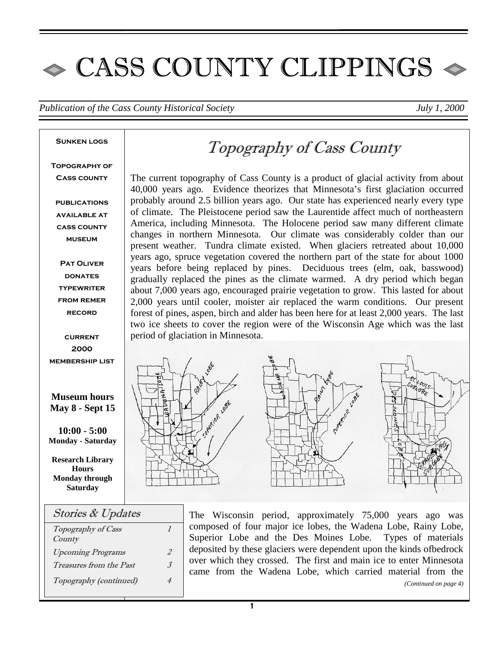# $\bullet$  CASS COUNTY CLIPPINGS  $\bullet$

*Publication of the Cass County Historical Society July 1, 2000* 

#### **Sunken logs**

**Topography of Cass county** 

**publications available at cass county museum** 

**Pat Oliver DONATES typewriter from remer record** 

**current 2000 membership list** 

### **Museum hours May 8 - Sept 15**

**10:00 - 5:00 Monday - Saturday** 

**Research Library Hours Monday through Saturday** 

| <b>Stories &amp; Updates</b>   |  |
|--------------------------------|--|
| Topography of Cass             |  |
| County                         |  |
| <b>Upcoming Programs</b>       |  |
| <i>Treasures from the Past</i> |  |
| Topography (continued)         |  |
|                                |  |

# Topography of Cass County

The current topography of Cass County is a product of glacial activity from about 40,000 years ago. Evidence theorizes that Minnesota's first glaciation occurred probably around 2.5 billion years ago. Our state has experienced nearly every type of climate. The Pleistocene period saw the Laurentide affect much of northeastern America, including Minnesota. The Holocene period saw many different climate changes in northern Minnesota. Our climate was considerably colder than our present weather. Tundra climate existed. When glaciers retreated about 10,000 years ago, spruce vegetation covered the northern part of the state for about 1000 years before being replaced by pines. Deciduous trees (elm, oak, basswood) gradually replaced the pines as the climate warmed. A dry period which began about 7,000 years ago, encouraged prairie vegetation to grow. This lasted for about 2,000 years until cooler, moister air replaced the warm conditions. Our present forest of pines, aspen, birch and alder has been here for at least 2,000 years. The last two ice sheets to cover the region were of the Wisconsin Age which was the last period of glaciation in Minnesota.



The Wisconsin period, approximately 75,000 years ago was composed of four major ice lobes, the Wadena Lobe, Rainy Lobe, Superior Lobe and the Des Moines Lobe. Types of materials deposited by these glaciers were dependent upon the kinds ofbedrock over which they crossed. The first and main ice to enter Minnesota came from the Wadena Lobe, which carried material from the *(Continued on page 4)*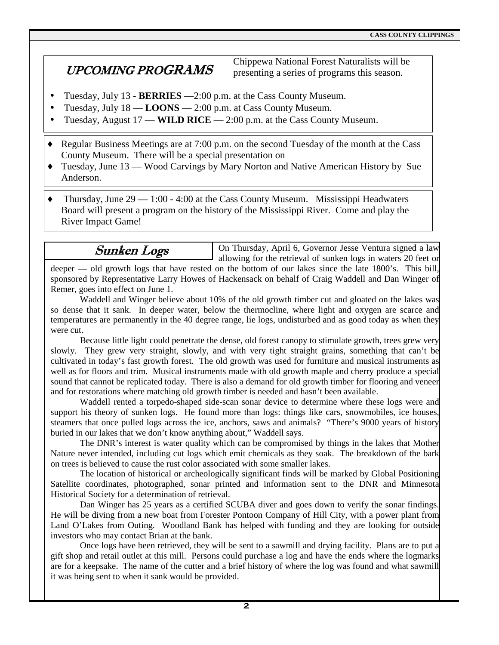# UPCOMING PROGRAMS

Chippewa National Forest Naturalists will be presenting a series of programs this season.

On Thursday, April 6, Governor Jesse Ventura signed a law

- Tuesday, July 13 **BERRIES** —2:00 p.m. at the Cass County Museum.
- Tuesday, July 18 **LOONS** 2:00 p.m. at Cass County Museum.
- Tuesday, August 17 **WILD RICE**  2:00 p.m. at the Cass County Museum.
- ♦ Regular Business Meetings are at 7:00 p.m. on the second Tuesday of the month at the Cass County Museum. There will be a special presentation on
- ♦ Tuesday, June 13 Wood Carvings by Mary Norton and Native American History by Sue Anderson.
- $\bullet$  Thursday, June 29 1:00 4:00 at the Cass County Museum. Mississippi Headwaters Board will present a program on the history of the Mississippi River. Come and play the River Impact Game!

## Sunken Logs

allowing for the retrieval of sunken logs in waters 20 feet or deeper — old growth logs that have rested on the bottom of our lakes since the late 1800's. This bill, sponsored by Representative Larry Howes of Hackensack on behalf of Craig Waddell and Dan Winger of Remer, goes into effect on June 1.

 Waddell and Winger believe about 10% of the old growth timber cut and gloated on the lakes was so dense that it sank. In deeper water, below the thermocline, where light and oxygen are scarce and temperatures are permanently in the 40 degree range, lie logs, undisturbed and as good today as when they were cut.

 Because little light could penetrate the dense, old forest canopy to stimulate growth, trees grew very slowly. They grew very straight, slowly, and with very tight straight grains, something that can't be cultivated in today's fast growth forest. The old growth was used for furniture and musical instruments as well as for floors and trim. Musical instruments made with old growth maple and cherry produce a special sound that cannot be replicated today. There is also a demand for old growth timber for flooring and veneer and for restorations where matching old growth timber is needed and hasn't been available.

 Waddell rented a torpedo-shaped side-scan sonar device to determine where these logs were and support his theory of sunken logs. He found more than logs: things like cars, snowmobiles, ice houses, steamers that once pulled logs across the ice, anchors, saws and animals? "There's 9000 years of history buried in our lakes that we don't know anything about," Waddell says.

 The DNR's interest is water quality which can be compromised by things in the lakes that Mother Nature never intended, including cut logs which emit chemicals as they soak. The breakdown of the bark on trees is believed to cause the rust color associated with some smaller lakes.

 The location of historical or archeologically significant finds will be marked by Global Positioning Satellite coordinates, photographed, sonar printed and information sent to the DNR and Minnesota Historical Society for a determination of retrieval.

 Dan Winger has 25 years as a certified SCUBA diver and goes down to verify the sonar findings. He will be diving from a new boat from Forester Pontoon Company of Hill City, with a power plant from Land O'Lakes from Outing. Woodland Bank has helped with funding and they are looking for outside investors who may contact Brian at the bank.

 Once logs have been retrieved, they will be sent to a sawmill and drying facility. Plans are to put a gift shop and retail outlet at this mill. Persons could purchase a log and have the ends where the logmarks are for a keepsake. The name of the cutter and a brief history of where the log was found and what sawmill it was being sent to when it sank would be provided.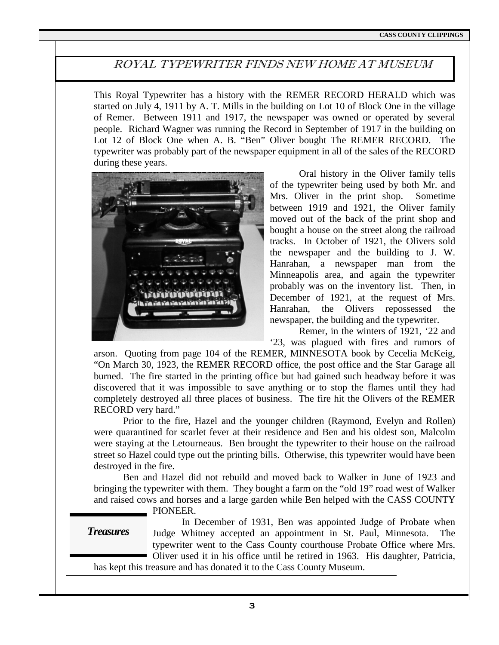## ROYAL TYPEWRITER FINDS NEW HOME AT MUSEUM

This Royal Typewriter has a history with the REMER RECORD HERALD which was started on July 4, 1911 by A. T. Mills in the building on Lot 10 of Block One in the village of Remer. Between 1911 and 1917, the newspaper was owned or operated by several people. Richard Wagner was running the Record in September of 1917 in the building on Lot 12 of Block One when A. B. "Ben" Oliver bought The REMER RECORD. The typewriter was probably part of the newspaper equipment in all of the sales of the RECORD during these years.



 Oral history in the Oliver family tells of the typewriter being used by both Mr. and Mrs. Oliver in the print shop. Sometime between 1919 and 1921, the Oliver family moved out of the back of the print shop and bought a house on the street along the railroad tracks. In October of 1921, the Olivers sold the newspaper and the building to J. W. Hanrahan, a newspaper man from the Minneapolis area, and again the typewriter probably was on the inventory list. Then, in December of 1921, at the request of Mrs. Hanrahan, the Olivers repossessed the newspaper, the building and the typewriter.

 Remer, in the winters of 1921, '22 and '23, was plagued with fires and rumors of

arson. Quoting from page 104 of the REMER, MINNESOTA book by Cecelia McKeig, "On March 30, 1923, the REMER RECORD office, the post office and the Star Garage all burned. The fire started in the printing office but had gained such headway before it was discovered that it was impossible to save anything or to stop the flames until they had completely destroyed all three places of business. The fire hit the Olivers of the REMER RECORD very hard."

 Prior to the fire, Hazel and the younger children (Raymond, Evelyn and Rollen) were quarantined for scarlet fever at their residence and Ben and his oldest son, Malcolm were staying at the Letourneaus. Ben brought the typewriter to their house on the railroad street so Hazel could type out the printing bills. Otherwise, this typewriter would have been destroyed in the fire.

 Ben and Hazel did not rebuild and moved back to Walker in June of 1923 and bringing the typewriter with them. They bought a farm on the "old 19" road west of Walker and raised cows and horses and a large garden while Ben helped with the CASS COUNTY

PIONEER.

*Treasures* 

 In December of 1931, Ben was appointed Judge of Probate when Judge Whitney accepted an appointment in St. Paul, Minnesota. The typewriter went to the Cass County courthouse Probate Office where Mrs. Oliver used it in his office until he retired in 1963. His daughter, Patricia,

has kept this treasure and has donated it to the Cass County Museum.